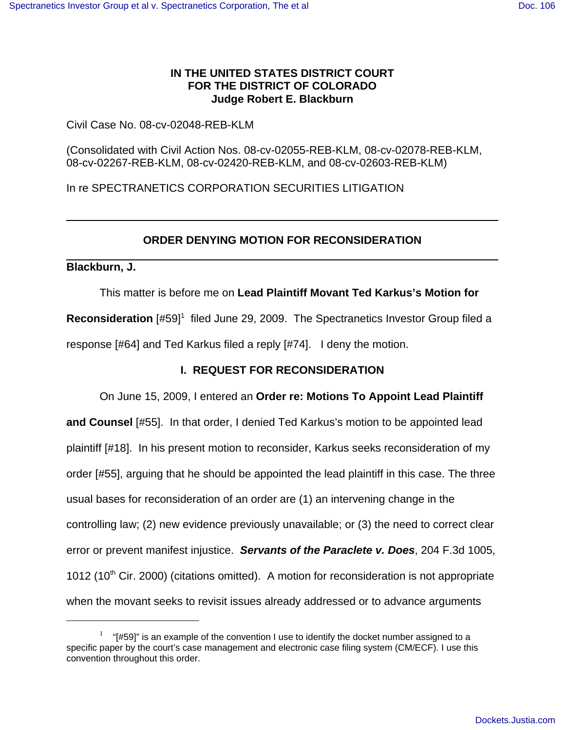## **IN THE UNITED STATES DISTRICT COURT FOR THE DISTRICT OF COLORADO Judge Robert E. Blackburn**

Civil Case No. 08-cv-02048-REB-KLM

(Consolidated with Civil Action Nos. 08-cv-02055-REB-KLM, 08-cv-02078-REB-KLM, 08-cv-02267-REB-KLM, 08-cv-02420-REB-KLM, and 08-cv-02603-REB-KLM)

In re SPECTRANETICS CORPORATION SECURITIES LITIGATION

### **ORDER DENYING MOTION FOR RECONSIDERATION**

#### **Blackburn, J.**

This matter is before me on **Lead Plaintiff Movant Ted Karkus's Motion for**

Reconsideration [#59]<sup>1</sup> filed June 29, 2009. The Spectranetics Investor Group filed a response [#64] and Ted Karkus filed a reply [#74]. I deny the motion.

# **I. REQUEST FOR RECONSIDERATION**

On June 15, 2009, I entered an **Order re: Motions To Appoint Lead Plaintiff and Counsel** [#55]. In that order, I denied Ted Karkus's motion to be appointed lead plaintiff [#18]. In his present motion to reconsider, Karkus seeks reconsideration of my order [#55], arguing that he should be appointed the lead plaintiff in this case. The three usual bases for reconsideration of an order are (1) an intervening change in the controlling law; (2) new evidence previously unavailable; or (3) the need to correct clear error or prevent manifest injustice. *Servants of the Paraclete v. Does*, 204 F.3d 1005, 1012 (10<sup>th</sup> Cir. 2000) (citations omitted). A motion for reconsideration is not appropriate when the movant seeks to revisit issues already addressed or to advance arguments

 $1$  "[#59]" is an example of the convention I use to identify the docket number assigned to a specific paper by the court's case management and electronic case filing system (CM/ECF). I use this convention throughout this order.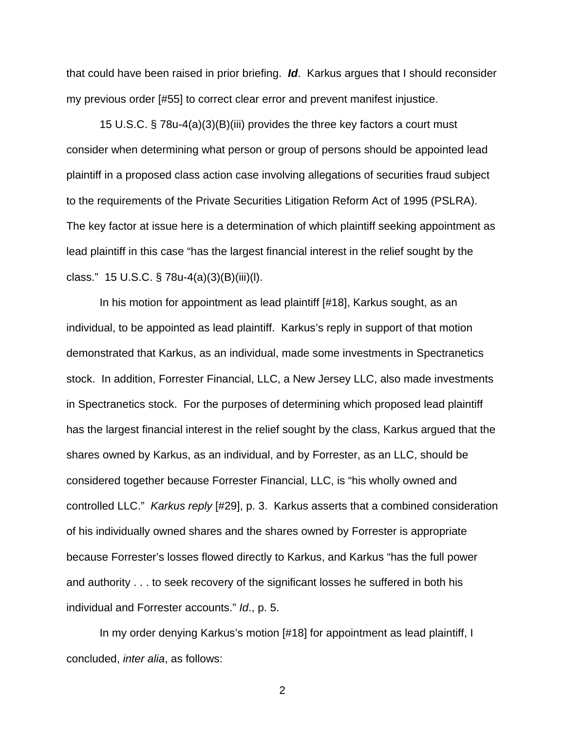that could have been raised in prior briefing. *Id*. Karkus argues that I should reconsider my previous order [#55] to correct clear error and prevent manifest injustice.

15 U.S.C. § 78u-4(a)(3)(B)(iii) provides the three key factors a court must consider when determining what person or group of persons should be appointed lead plaintiff in a proposed class action case involving allegations of securities fraud subject to the requirements of the Private Securities Litigation Reform Act of 1995 (PSLRA). The key factor at issue here is a determination of which plaintiff seeking appointment as lead plaintiff in this case "has the largest financial interest in the relief sought by the class." 15 U.S.C. § 78u-4(a)(3)(B)(iii)(l).

In his motion for appointment as lead plaintiff [#18], Karkus sought, as an individual, to be appointed as lead plaintiff. Karkus's reply in support of that motion demonstrated that Karkus, as an individual, made some investments in Spectranetics stock. In addition, Forrester Financial, LLC, a New Jersey LLC, also made investments in Spectranetics stock. For the purposes of determining which proposed lead plaintiff has the largest financial interest in the relief sought by the class, Karkus argued that the shares owned by Karkus, as an individual, and by Forrester, as an LLC, should be considered together because Forrester Financial, LLC, is "his wholly owned and controlled LLC." *Karkus reply* [#29], p. 3. Karkus asserts that a combined consideration of his individually owned shares and the shares owned by Forrester is appropriate because Forrester's losses flowed directly to Karkus, and Karkus "has the full power and authority . . . to seek recovery of the significant losses he suffered in both his individual and Forrester accounts." *Id*., p. 5.

In my order denying Karkus's motion [#18] for appointment as lead plaintiff, I concluded, *inter alia*, as follows:

2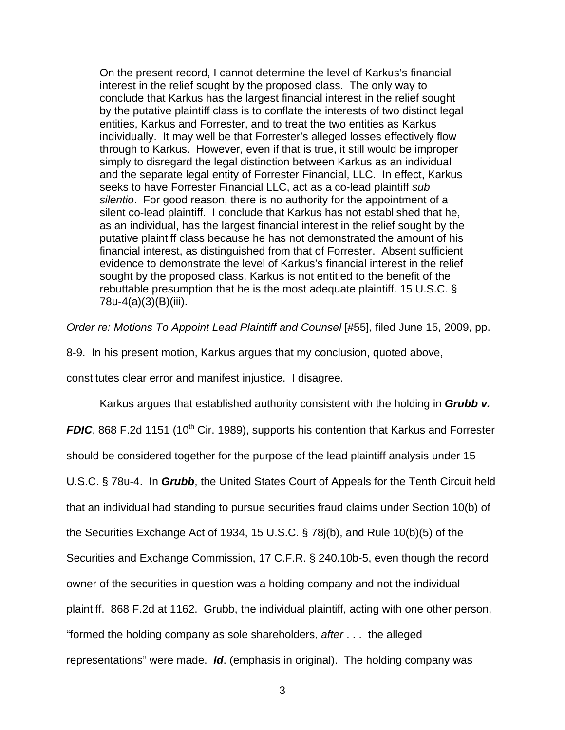On the present record, I cannot determine the level of Karkus's financial interest in the relief sought by the proposed class. The only way to conclude that Karkus has the largest financial interest in the relief sought by the putative plaintiff class is to conflate the interests of two distinct legal entities, Karkus and Forrester, and to treat the two entities as Karkus individually. It may well be that Forrester's alleged losses effectively flow through to Karkus. However, even if that is true, it still would be improper simply to disregard the legal distinction between Karkus as an individual and the separate legal entity of Forrester Financial, LLC. In effect, Karkus seeks to have Forrester Financial LLC, act as a co-lead plaintiff *sub silentio*. For good reason, there is no authority for the appointment of a silent co-lead plaintiff. I conclude that Karkus has not established that he, as an individual, has the largest financial interest in the relief sought by the putative plaintiff class because he has not demonstrated the amount of his financial interest, as distinguished from that of Forrester. Absent sufficient evidence to demonstrate the level of Karkus's financial interest in the relief sought by the proposed class, Karkus is not entitled to the benefit of the rebuttable presumption that he is the most adequate plaintiff. 15 U.S.C. § 78u-4(a)(3)(B)(iii).

*Order re: Motions To Appoint Lead Plaintiff and Counsel* [#55], filed June 15, 2009, pp.

8-9. In his present motion, Karkus argues that my conclusion, quoted above,

constitutes clear error and manifest injustice. I disagree.

Karkus argues that established authority consistent with the holding in *Grubb v. FDIC*, 868 F.2d 1151 (10<sup>th</sup> Cir. 1989), supports his contention that Karkus and Forrester should be considered together for the purpose of the lead plaintiff analysis under 15 U.S.C. § 78u-4. In *Grubb*, the United States Court of Appeals for the Tenth Circuit held that an individual had standing to pursue securities fraud claims under Section 10(b) of the Securities Exchange Act of 1934, 15 U.S.C. § 78j(b), and Rule 10(b)(5) of the Securities and Exchange Commission, 17 C.F.R. § 240.10b-5, even though the record owner of the securities in question was a holding company and not the individual plaintiff. 868 F.2d at 1162. Grubb, the individual plaintiff, acting with one other person, "formed the holding company as sole shareholders, *after* . . . the alleged representations" were made. *Id*. (emphasis in original). The holding company was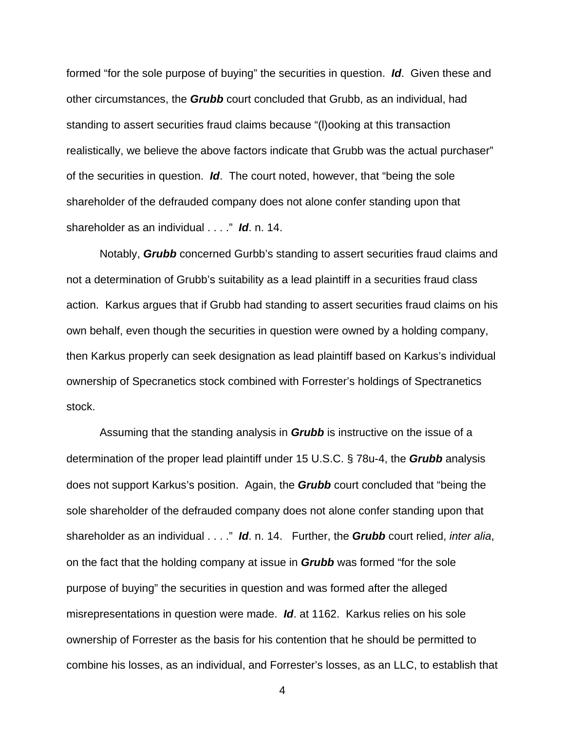formed "for the sole purpose of buying" the securities in question. *Id*. Given these and other circumstances, the *Grubb* court concluded that Grubb, as an individual, had standing to assert securities fraud claims because "(l)ooking at this transaction realistically, we believe the above factors indicate that Grubb was the actual purchaser" of the securities in question. *Id*. The court noted, however, that "being the sole shareholder of the defrauded company does not alone confer standing upon that shareholder as an individual . . . ." *Id*. n. 14.

Notably, *Grubb* concerned Gurbb's standing to assert securities fraud claims and not a determination of Grubb's suitability as a lead plaintiff in a securities fraud class action. Karkus argues that if Grubb had standing to assert securities fraud claims on his own behalf, even though the securities in question were owned by a holding company, then Karkus properly can seek designation as lead plaintiff based on Karkus's individual ownership of Specranetics stock combined with Forrester's holdings of Spectranetics stock.

Assuming that the standing analysis in *Grubb* is instructive on the issue of a determination of the proper lead plaintiff under 15 U.S.C. § 78u-4, the *Grubb* analysis does not support Karkus's position. Again, the *Grubb* court concluded that "being the sole shareholder of the defrauded company does not alone confer standing upon that shareholder as an individual . . . ." *Id*. n. 14. Further, the *Grubb* court relied, *inter alia*, on the fact that the holding company at issue in *Grubb* was formed "for the sole purpose of buying" the securities in question and was formed after the alleged misrepresentations in question were made. *Id*. at 1162. Karkus relies on his sole ownership of Forrester as the basis for his contention that he should be permitted to combine his losses, as an individual, and Forrester's losses, as an LLC, to establish that

4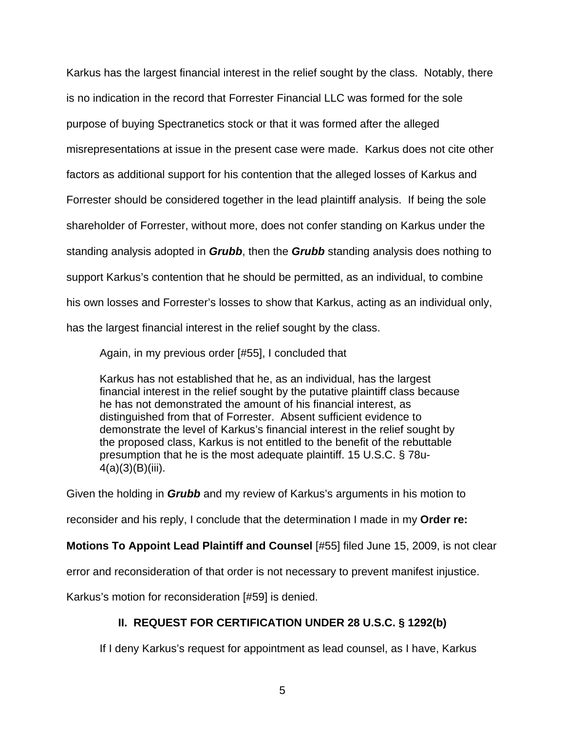Karkus has the largest financial interest in the relief sought by the class. Notably, there is no indication in the record that Forrester Financial LLC was formed for the sole purpose of buying Spectranetics stock or that it was formed after the alleged misrepresentations at issue in the present case were made. Karkus does not cite other factors as additional support for his contention that the alleged losses of Karkus and Forrester should be considered together in the lead plaintiff analysis. If being the sole shareholder of Forrester, without more, does not confer standing on Karkus under the standing analysis adopted in *Grubb*, then the *Grubb* standing analysis does nothing to support Karkus's contention that he should be permitted, as an individual, to combine his own losses and Forrester's losses to show that Karkus, acting as an individual only, has the largest financial interest in the relief sought by the class.

Again, in my previous order [#55], I concluded that

Karkus has not established that he, as an individual, has the largest financial interest in the relief sought by the putative plaintiff class because he has not demonstrated the amount of his financial interest, as distinguished from that of Forrester. Absent sufficient evidence to demonstrate the level of Karkus's financial interest in the relief sought by the proposed class, Karkus is not entitled to the benefit of the rebuttable presumption that he is the most adequate plaintiff. 15 U.S.C. § 78u-4(a)(3)(B)(iii).

Given the holding in *Grubb* and my review of Karkus's arguments in his motion to

reconsider and his reply, I conclude that the determination I made in my **Order re:**

**Motions To Appoint Lead Plaintiff and Counsel** [#55] filed June 15, 2009, is not clear

error and reconsideration of that order is not necessary to prevent manifest injustice.

Karkus's motion for reconsideration [#59] is denied.

# **II. REQUEST FOR CERTIFICATION UNDER 28 U.S.C. § 1292(b)**

If I deny Karkus's request for appointment as lead counsel, as I have, Karkus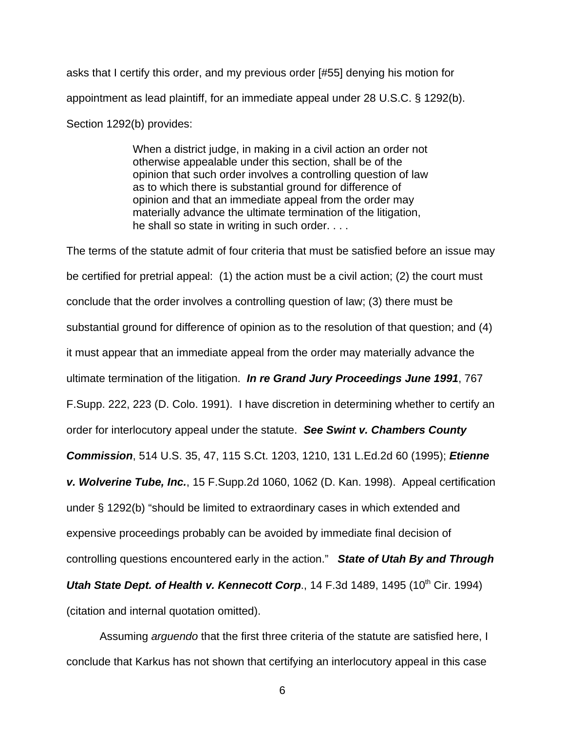asks that I certify this order, and my previous order [#55] denying his motion for appointment as lead plaintiff, for an immediate appeal under 28 U.S.C. § 1292(b). Section 1292(b) provides:

> When a district judge, in making in a civil action an order not otherwise appealable under this section, shall be of the opinion that such order involves a controlling question of law as to which there is substantial ground for difference of opinion and that an immediate appeal from the order may materially advance the ultimate termination of the litigation, he shall so state in writing in such order. . . .

The terms of the statute admit of four criteria that must be satisfied before an issue may be certified for pretrial appeal: (1) the action must be a civil action; (2) the court must conclude that the order involves a controlling question of law; (3) there must be substantial ground for difference of opinion as to the resolution of that question; and (4) it must appear that an immediate appeal from the order may materially advance the ultimate termination of the litigation. *In re Grand Jury Proceedings June 1991*, 767 F.Supp. 222, 223 (D. Colo. 1991). I have discretion in determining whether to certify an order for interlocutory appeal under the statute. *See Swint v. Chambers County Commission*, 514 U.S. 35, 47, 115 S.Ct. 1203, 1210, 131 L.Ed.2d 60 (1995); *Etienne v. Wolverine Tube, Inc.*, 15 F.Supp.2d 1060, 1062 (D. Kan. 1998). Appeal certification under § 1292(b) "should be limited to extraordinary cases in which extended and expensive proceedings probably can be avoided by immediate final decision of controlling questions encountered early in the action." *State of Utah By and Through Utah State Dept. of Health v. Kennecott Corp., 14 F.3d 1489, 1495 (10<sup>th</sup> Cir. 1994)* (citation and internal quotation omitted).

Assuming *arguendo* that the first three criteria of the statute are satisfied here, I conclude that Karkus has not shown that certifying an interlocutory appeal in this case

6